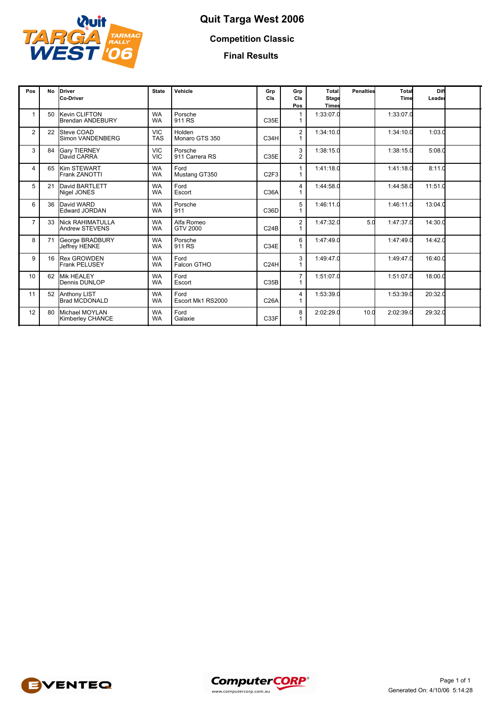

## **Quit Targa West 2006**

**Competition Classic**

**Final Results**

| Pos            | <b>No</b> | Driver<br><b>Co-Driver</b>                  | <b>State</b>             | Vehicle                   | Grp<br>CIs        | Grp<br>CIs<br>Pos | Total<br>Stage<br><b>Times</b> | <b>Penalties</b> | Total<br>Time | Diff<br>Leader |  |
|----------------|-----------|---------------------------------------------|--------------------------|---------------------------|-------------------|-------------------|--------------------------------|------------------|---------------|----------------|--|
|                | 50        | Kevin CLIFTON<br><b>Brendan ANDEBURY</b>    | <b>WA</b><br><b>WA</b>   | Porsche<br>911 RS         | C35E              | 1                 | 1:33:07.0                      |                  | 1:33:07.0     |                |  |
| $\overline{2}$ | 22        | Steve COAD<br>Simon VANDENBERG              | <b>VIC</b><br><b>TAS</b> | Holden<br>Monaro GTS 350  | C34H              | 2                 | 1:34:10.0                      |                  | 1:34:10.0     | 1:03.0         |  |
| 3              | 84        | <b>Gary TIERNEY</b><br>David CARRA          | <b>VIC</b><br><b>VIC</b> | Porsche<br>911 Carrera RS | C35E              | 3<br>2            | 1:38:15.0                      |                  | 1:38:15.0     | 5:08.0         |  |
| $\overline{4}$ | 65        | <b>Kim STEWART</b><br>Frank ZANOTTI         | <b>WA</b><br><b>WA</b>   | Ford<br>Mustang GT350     | C <sub>2F3</sub>  |                   | 1:41:18.0                      |                  | 1:41:18.0     | 8:11.0         |  |
| 5              | 21        | David BARTLETT<br>Nigel JONES               | <b>WA</b><br><b>WA</b>   | Ford<br>Escort            | C36A              | 4                 | 1:44:58.0                      |                  | 1:44:58.0     | 11:51.0        |  |
| 6              | 36        | David WARD<br><b>Edward JORDAN</b>          | <b>WA</b><br><b>WA</b>   | Porsche<br>911            | C36D              | 5                 | 1:46:11.0                      |                  | 1:46:11.0     | 13:04.0        |  |
| $\overline{7}$ | 33        | <b>Nick RAHIMATULLA</b><br>Andrew STEVENS   | <b>WA</b><br><b>WA</b>   | Alfa Romeo<br>GTV 2000    | C <sub>24B</sub>  | $\overline{c}$    | 1:47:32.0                      | 5.0              | 1:47:37.0     | 14:30.0        |  |
| 8              | 71        | George BRADBURY<br><b>Jeffrey HENKE</b>     | <b>WA</b><br><b>WA</b>   | Porsche<br>911 RS         | C34E              | 6                 | 1:47:49.0                      |                  | 1:47:49.0     | 14:42.0        |  |
| 9              | 16        | <b>Rex GROWDEN</b><br><b>Frank PELUSEY</b>  | <b>WA</b><br><b>WA</b>   | Ford<br>Falcon GTHO       | C <sub>24</sub> H | 3                 | 1:49:47.0                      |                  | 1:49:47.0     | 16:40.0        |  |
| 10             | 62        | <b>Mik HEALEY</b><br>Dennis DUNLOP          | <b>WA</b><br><b>WA</b>   | Ford<br>Escort            | C35B              | $\overline{7}$    | 1:51:07.0                      |                  | 1:51:07.0     | 18:00.0        |  |
| 11             | 52        | <b>Anthony LIST</b><br><b>Brad MCDONALD</b> | <b>WA</b><br><b>WA</b>   | Ford<br>Escort Mk1 RS2000 | C26A              | 4                 | 1:53:39.0                      |                  | 1:53:39.0     | 20:32.0        |  |
| 12             | 80        | Michael MOYLAN<br>Kimberley CHANCE          | <b>WA</b><br><b>WA</b>   | Ford<br>Galaxie           | C33F              | 8                 | 2:02:29.0                      | 10.0             | 2:02:39.0     | 29:32.0        |  |